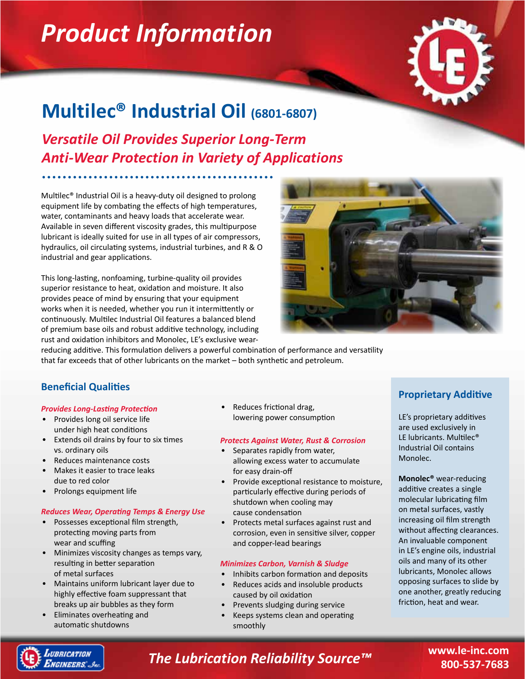# *Product Information*



## **Multilec® Industrial Oil (6801-6807)**

*Versatile Oil Provides Superior Long-Term Anti-Wear Protection in Variety of Applications*

Multilec® Industrial Oil is a heavy-duty oil designed to prolong equipment life by combating the effects of high temperatures, water, contaminants and heavy loads that accelerate wear. Available in seven different viscosity grades, this multipurpose lubricant is ideally suited for use in all types of air compressors, hydraulics, oil circulating systems, industrial turbines, and R & O industrial and gear applications.

This long-lasting, nonfoaming, turbine-quality oil provides superior resistance to heat, oxidation and moisture. It also provides peace of mind by ensuring that your equipment works when it is needed, whether you run it intermittently or continuously. Multilec Industrial Oil features a balanced blend of premium base oils and robust additive technology, including rust and oxidation inhibitors and Monolec, LE's exclusive wear-



reducing additive. This formulation delivers a powerful combination of performance and versatility that far exceeds that of other lubricants on the market – both synthetic and petroleum.

### **Beneficial Qualities**

#### *Provides Long-Lasting Protection*

- Provides long oil service life under high heat conditions
- Extends oil drains by four to six times vs. ordinary oils
- Reduces maintenance costs
- Makes it easier to trace leaks due to red color
- Prolongs equipment life

#### *Reduces Wear, Operating Temps & Energy Use*

- Possesses exceptional film strength, protecting moving parts from wear and scuffing
- Minimizes viscosity changes as temps vary, resulting in better separation of metal surfaces
- Maintains uniform lubricant layer due to highly effective foam suppressant that breaks up air bubbles as they form
- Eliminates overheating and automatic shutdowns

Reduces frictional drag, lowering power consumption

#### *Protects Against Water, Rust & Corrosion*

- Separates rapidly from water, allowing excess water to accumulate for easy drain-off
- Provide exceptional resistance to moisture, particularly effective during periods of shutdown when cooling may cause condensation
- Protects metal surfaces against rust and corrosion, even in sensitive silver, copper and copper-lead bearings

#### *Minimizes Carbon, Varnish & Sludge*

- Inhibits carbon formation and deposits
- Reduces acids and insoluble products caused by oil oxidation
- Prevents sludging during service
- Keeps systems clean and operating smoothly

### **Proprietary Additive**

LE's proprietary additives are used exclusively in LE lubricants. Multilec® Industrial Oil contains Monolec.

**Monolec®** wear-reducing additive creates a single molecular lubricating film on metal surfaces, vastly increasing oil film strength without affecting clearances. An invaluable component in LE's engine oils, industrial oils and many of its other lubricants, Monolec allows opposing surfaces to slide by one another, greatly reducing friction, heat and wear.



*The Lubrication Reliability Source™*

**www.le-inc.com 800-537-7683**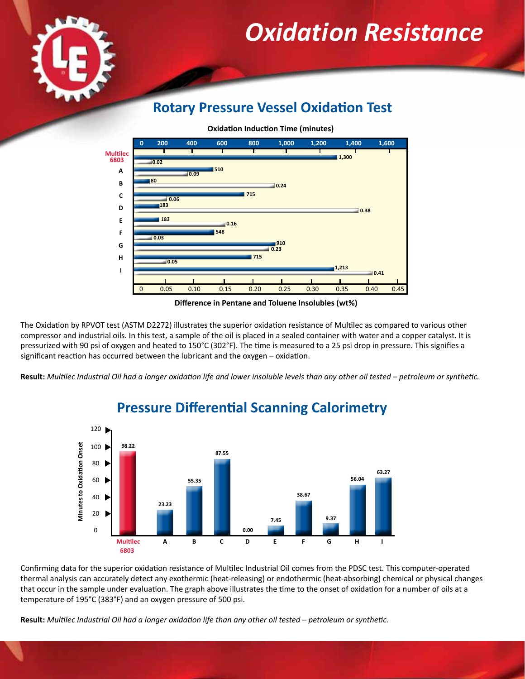

## *Oxidation Resistance*

## **Rotary Pressure Vessel Oxidation Test**

**Oxidation Induction Time (minutes)**



**Difference in Pentane and Toluene Insolubles (wt%)**

The Oxidation by RPVOT test (ASTM D2272) illustrates the superior oxidation resistance of Multilec as compared to various other compressor and industrial oils. In this test, a sample of the oil is placed in a sealed container with water and a copper catalyst. It is pressurized with 90 psi of oxygen and heated to 150°C (302°F). The time is measured to a 25 psi drop in pressure. This signifies a significant reaction has occurred between the lubricant and the oxygen – oxidation.

**Result:** *Multilec Industrial Oil had a longer oxidation life and lower insoluble levels than any other oil tested – petroleum or synthetic.*



### **Pressure Differential Scanning Calorimetry**

Confirming data for the superior oxidation resistance of Multilec Industrial Oil comes from the PDSC test. This computer-operated thermal analysis can accurately detect any exothermic (heat-releasing) or endothermic (heat-absorbing) chemical or physical changes that occur in the sample under evaluation. The graph above illustrates the time to the onset of oxidation for a number of oils at a temperature of 195°C (383°F) and an oxygen pressure of 500 psi.

**Result:** *Multilec Industrial Oil had a longer oxidation life than any other oil tested – petroleum or synthetic.*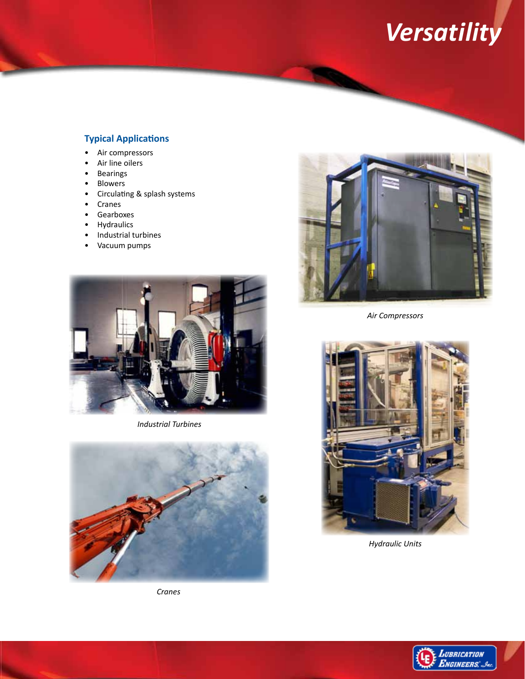# *Versatility*

### **Typical Applications**

- Air compressors
- Air line oilers
- Bearings
- **Blowers**
- Circulating & splash systems
- Cranes
- Gearboxes
- Hydraulics
- Industrial turbines
- Vacuum pumps



*Industrial Turbines*



*Cranes*



*Air Compressors*



*Hydraulic Units*